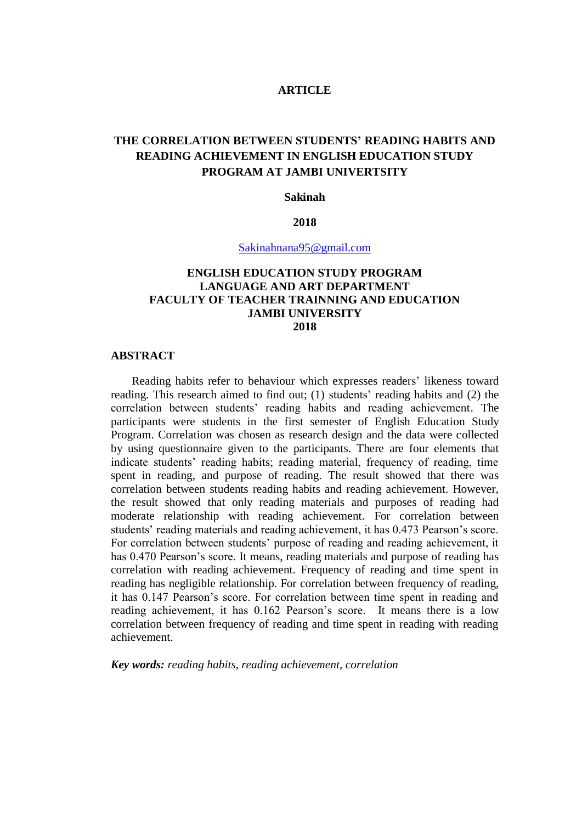## **ARTICLE**

# **THE CORRELATION BETWEEN STUDENTS' READING HABITS AND READING ACHIEVEMENT IN ENGLISH EDUCATION STUDY PROGRAM AT JAMBI UNIVERTSITY**

#### **Sakinah**

#### **2018**

[Sakinahnana95@gmail.com](mailto:Sakinahnana95@gmail.com)

## **ENGLISH EDUCATION STUDY PROGRAM LANGUAGE AND ART DEPARTMENT FACULTY OF TEACHER TRAINNING AND EDUCATION JAMBI UNIVERSITY 2018**

#### **ABSTRACT**

Reading habits refer to behaviour which expresses readers' likeness toward reading. This research aimed to find out; (1) students' reading habits and (2) the correlation between students' reading habits and reading achievement. The participants were students in the first semester of English Education Study Program. Correlation was chosen as research design and the data were collected by using questionnaire given to the participants. There are four elements that indicate students' reading habits; reading material, frequency of reading, time spent in reading, and purpose of reading. The result showed that there was correlation between students reading habits and reading achievement. However, the result showed that only reading materials and purposes of reading had moderate relationship with reading achievement. For correlation between students' reading materials and reading achievement, it has 0.473 Pearson's score. For correlation between students' purpose of reading and reading achievement, it has 0.470 Pearson's score. It means, reading materials and purpose of reading has correlation with reading achievement. Frequency of reading and time spent in reading has negligible relationship. For correlation between frequency of reading, it has 0.147 Pearson's score. For correlation between time spent in reading and reading achievement, it has 0.162 Pearson's score. It means there is a low correlation between frequency of reading and time spent in reading with reading achievement.

*Key words: reading habits, reading achievement, correlation*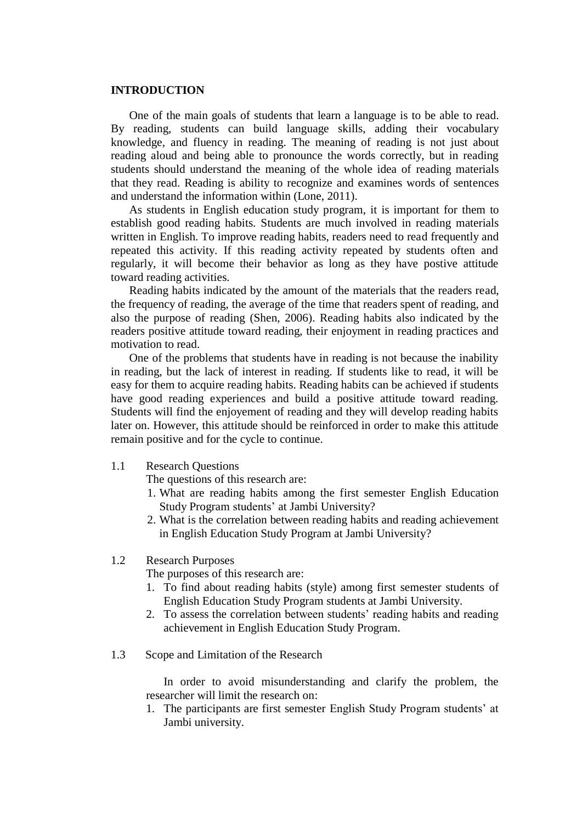#### **INTRODUCTION**

One of the main goals of students that learn a language is to be able to read. By reading, students can build language skills, adding their vocabulary knowledge, and fluency in reading. The meaning of reading is not just about reading aloud and being able to pronounce the words correctly, but in reading students should understand the meaning of the whole idea of reading materials that they read. Reading is ability to recognize and examines words of sentences and understand the information within (Lone, 2011).

As students in English education study program, it is important for them to establish good reading habits. Students are much involved in reading materials written in English. To improve reading habits, readers need to read frequently and repeated this activity. If this reading activity repeated by students often and regularly, it will become their behavior as long as they have postive attitude toward reading activities.

Reading habits indicated by the amount of the materials that the readers read, the frequency of reading, the average of the time that readers spent of reading, and also the purpose of reading (Shen, 2006). Reading habits also indicated by the readers positive attitude toward reading, their enjoyment in reading practices and motivation to read.

One of the problems that students have in reading is not because the inability in reading, but the lack of interest in reading. If students like to read, it will be easy for them to acquire reading habits. Reading habits can be achieved if students have good reading experiences and build a positive attitude toward reading. Students will find the enjoyement of reading and they will develop reading habits later on. However, this attitude should be reinforced in order to make this attitude remain positive and for the cycle to continue.

## 1.1 Research Questions

The questions of this research are:

- 1. What are reading habits among the first semester English Education Study Program students' at Jambi University?
- 2. What is the correlation between reading habits and reading achievement in English Education Study Program at Jambi University?

#### 1.2 Research Purposes

The purposes of this research are:

- 1. To find about reading habits (style) among first semester students of English Education Study Program students at Jambi University.
- 2. To assess the correlation between students' reading habits and reading achievement in English Education Study Program.
- 1.3 Scope and Limitation of the Research

In order to avoid misunderstanding and clarify the problem, the researcher will limit the research on:

1. The participants are first semester English Study Program students' at Jambi university.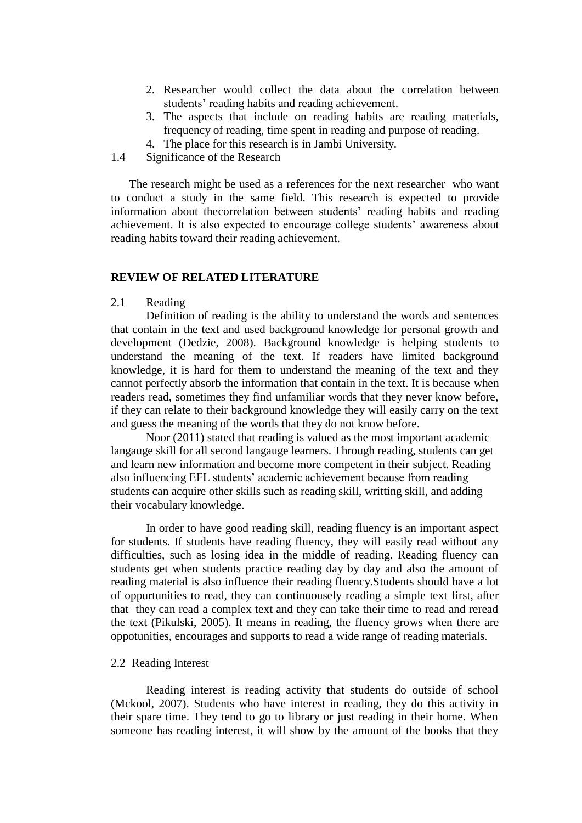- 2. Researcher would collect the data about the correlation between students' reading habits and reading achievement.
- 3. The aspects that include on reading habits are reading materials, frequency of reading, time spent in reading and purpose of reading.
- 4. The place for this research is in Jambi University.
- 1.4 Significance of the Research

The research might be used as a references for the next researcher who want to conduct a study in the same field. This research is expected to provide information about thecorrelation between students' reading habits and reading achievement. It is also expected to encourage college students' awareness about reading habits toward their reading achievement.

#### **REVIEW OF RELATED LITERATURE**

### 2.1 Reading

Definition of reading is the ability to understand the words and sentences that contain in the text and used background knowledge for personal growth and development (Dedzie, 2008). Background knowledge is helping students to understand the meaning of the text. If readers have limited background knowledge, it is hard for them to understand the meaning of the text and they cannot perfectly absorb the information that contain in the text. It is because when readers read, sometimes they find unfamiliar words that they never know before, if they can relate to their background knowledge they will easily carry on the text and guess the meaning of the words that they do not know before.

Noor (2011) stated that reading is valued as the most important academic langauge skill for all second langauge learners. Through reading, students can get and learn new information and become more competent in their subject. Reading also influencing EFL students' academic achievement because from reading students can acquire other skills such as reading skill, writting skill, and adding their vocabulary knowledge.

In order to have good reading skill, reading fluency is an important aspect for students. If students have reading fluency, they will easily read without any difficulties, such as losing idea in the middle of reading. Reading fluency can students get when students practice reading day by day and also the amount of reading material is also influence their reading fluency.Students should have a lot of oppurtunities to read, they can continuousely reading a simple text first, after that they can read a complex text and they can take their time to read and reread the text (Pikulski, 2005). It means in reading, the fluency grows when there are oppotunities, encourages and supports to read a wide range of reading materials.

#### 2.2 Reading Interest

Reading interest is reading activity that students do outside of school (Mckool, 2007). Students who have interest in reading, they do this activity in their spare time. They tend to go to library or just reading in their home. When someone has reading interest, it will show by the amount of the books that they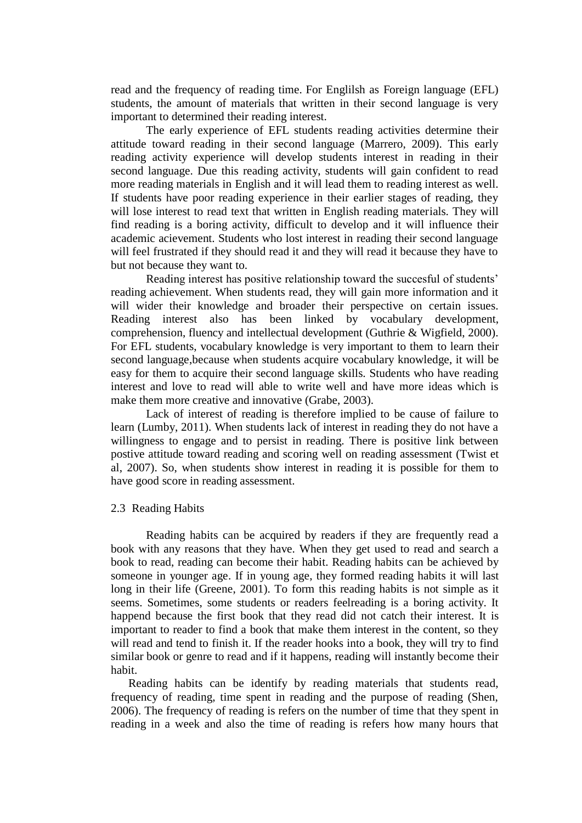read and the frequency of reading time. For Englilsh as Foreign language (EFL) students, the amount of materials that written in their second language is very important to determined their reading interest.

The early experience of EFL students reading activities determine their attitude toward reading in their second language (Marrero, 2009). This early reading activity experience will develop students interest in reading in their second language. Due this reading activity, students will gain confident to read more reading materials in English and it will lead them to reading interest as well. If students have poor reading experience in their earlier stages of reading, they will lose interest to read text that written in English reading materials. They will find reading is a boring activity, difficult to develop and it will influence their academic acievement. Students who lost interest in reading their second language will feel frustrated if they should read it and they will read it because they have to but not because they want to.

Reading interest has positive relationship toward the succesful of students' reading achievement. When students read, they will gain more information and it will wider their knowledge and broader their perspective on certain issues. Reading interest also has been linked by vocabulary development, comprehension, fluency and intellectual development (Guthrie & Wigfield, 2000). For EFL students, vocabulary knowledge is very important to them to learn their second language,because when students acquire vocabulary knowledge, it will be easy for them to acquire their second language skills. Students who have reading interest and love to read will able to write well and have more ideas which is make them more creative and innovative (Grabe, 2003).

Lack of interest of reading is therefore implied to be cause of failure to learn (Lumby, 2011). When students lack of interest in reading they do not have a willingness to engage and to persist in reading. There is positive link between postive attitude toward reading and scoring well on reading assessment (Twist et al, 2007). So, when students show interest in reading it is possible for them to have good score in reading assessment.

#### 2.3 Reading Habits

Reading habits can be acquired by readers if they are frequently read a book with any reasons that they have. When they get used to read and search a book to read, reading can become their habit. Reading habits can be achieved by someone in younger age. If in young age, they formed reading habits it will last long in their life (Greene, 2001). To form this reading habits is not simple as it seems. Sometimes, some students or readers feelreading is a boring activity. It happend because the first book that they read did not catch their interest. It is important to reader to find a book that make them interest in the content, so they will read and tend to finish it. If the reader hooks into a book, they will try to find similar book or genre to read and if it happens, reading will instantly become their habit.

Reading habits can be identify by reading materials that students read, frequency of reading, time spent in reading and the purpose of reading (Shen, 2006). The frequency of reading is refers on the number of time that they spent in reading in a week and also the time of reading is refers how many hours that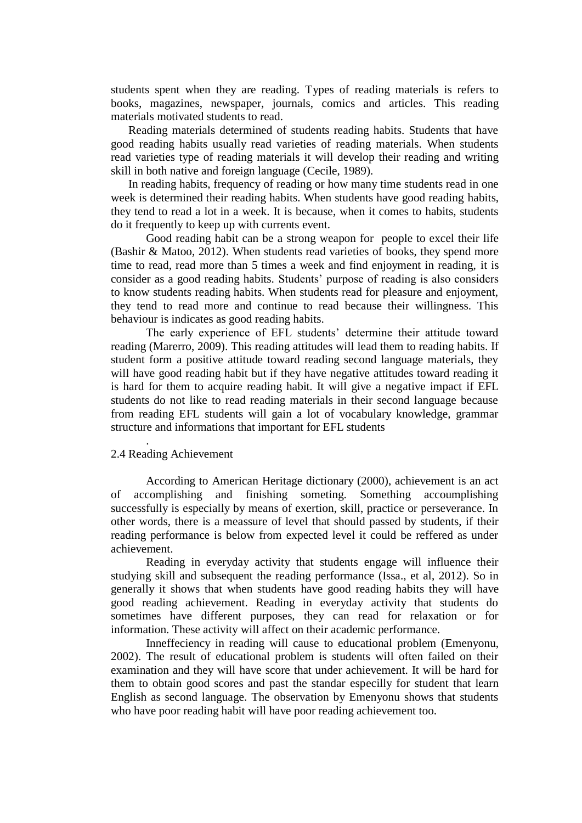students spent when they are reading. Types of reading materials is refers to books, magazines, newspaper, journals, comics and articles. This reading materials motivated students to read.

Reading materials determined of students reading habits. Students that have good reading habits usually read varieties of reading materials. When students read varieties type of reading materials it will develop their reading and writing skill in both native and foreign language (Cecile, 1989).

In reading habits, frequency of reading or how many time students read in one week is determined their reading habits. When students have good reading habits, they tend to read a lot in a week. It is because, when it comes to habits, students do it frequently to keep up with currents event.

Good reading habit can be a strong weapon for people to excel their life (Bashir & Matoo, 2012). When students read varieties of books, they spend more time to read, read more than 5 times a week and find enjoyment in reading, it is consider as a good reading habits. Students' purpose of reading is also considers to know students reading habits. When students read for pleasure and enjoyment, they tend to read more and continue to read because their willingness. This behaviour is indicates as good reading habits.

The early experience of EFL students' determine their attitude toward reading (Marerro, 2009). This reading attitudes will lead them to reading habits. If student form a positive attitude toward reading second language materials, they will have good reading habit but if they have negative attitudes toward reading it is hard for them to acquire reading habit. It will give a negative impact if EFL students do not like to read reading materials in their second language because from reading EFL students will gain a lot of vocabulary knowledge, grammar structure and informations that important for EFL students

## 2.4 Reading Achievement

.

According to American Heritage dictionary (2000), achievement is an act of accomplishing and finishing someting. Something accoumplishing successfully is especially by means of exertion, skill, practice or perseverance. In other words, there is a meassure of level that should passed by students, if their reading performance is below from expected level it could be reffered as under achievement.

Reading in everyday activity that students engage will influence their studying skill and subsequent the reading performance (Issa., et al, 2012). So in generally it shows that when students have good reading habits they will have good reading achievement. Reading in everyday activity that students do sometimes have different purposes, they can read for relaxation or for information. These activity will affect on their academic performance.

Inneffeciency in reading will cause to educational problem (Emenyonu, 2002). The result of educational problem is students will often failed on their examination and they will have score that under achievement. It will be hard for them to obtain good scores and past the standar especilly for student that learn English as second language. The observation by Emenyonu shows that students who have poor reading habit will have poor reading achievement too.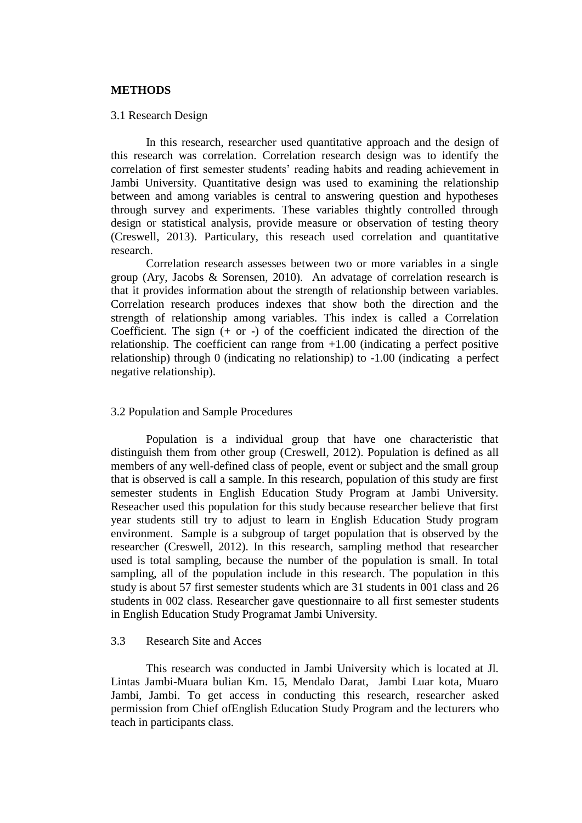#### **METHODS**

#### 3.1 Research Design

In this research, researcher used quantitative approach and the design of this research was correlation. Correlation research design was to identify the correlation of first semester students' reading habits and reading achievement in Jambi University. Quantitative design was used to examining the relationship between and among variables is central to answering question and hypotheses through survey and experiments. These variables thightly controlled through design or statistical analysis, provide measure or observation of testing theory (Creswell, 2013). Particulary, this reseach used correlation and quantitative research.

Correlation research assesses between two or more variables in a single group (Ary, Jacobs & Sorensen, 2010). An advatage of correlation research is that it provides information about the strength of relationship between variables. Correlation research produces indexes that show both the direction and the strength of relationship among variables. This index is called a Correlation Coefficient. The sign  $(+ or -)$  of the coefficient indicated the direction of the relationship. The coefficient can range from  $+1.00$  (indicating a perfect positive relationship) through 0 (indicating no relationship) to -1.00 (indicating a perfect negative relationship).

#### 3.2 Population and Sample Procedures

Population is a individual group that have one characteristic that distinguish them from other group (Creswell, 2012). Population is defined as all members of any well-defined class of people, event or subject and the small group that is observed is call a sample. In this research, population of this study are first semester students in English Education Study Program at Jambi University. Reseacher used this population for this study because researcher believe that first year students still try to adjust to learn in English Education Study program environment. Sample is a subgroup of target population that is observed by the researcher (Creswell, 2012). In this research, sampling method that researcher used is total sampling, because the number of the population is small. In total sampling, all of the population include in this research. The population in this study is about 57 first semester students which are 31 students in 001 class and 26 students in 002 class. Researcher gave questionnaire to all first semester students in English Education Study Programat Jambi University.

## 3.3 Research Site and Acces

This research was conducted in Jambi University which is located at Jl. Lintas Jambi-Muara bulian Km. 15, Mendalo Darat, Jambi Luar kota, Muaro Jambi, Jambi. To get access in conducting this research, researcher asked permission from Chief ofEnglish Education Study Program and the lecturers who teach in participants class.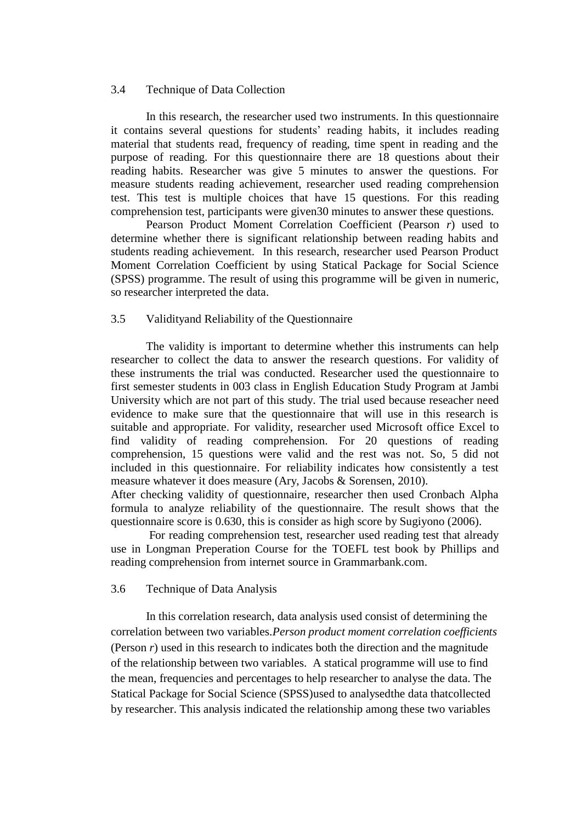#### 3.4 Technique of Data Collection

In this research, the researcher used two instruments. In this questionnaire it contains several questions for students' reading habits, it includes reading material that students read, frequency of reading, time spent in reading and the purpose of reading. For this questionnaire there are 18 questions about their reading habits. Researcher was give 5 minutes to answer the questions. For measure students reading achievement, researcher used reading comprehension test. This test is multiple choices that have 15 questions. For this reading comprehension test, participants were given30 minutes to answer these questions.

Pearson Product Moment Correlation Coefficient (Pearson *r*) used to determine whether there is significant relationship between reading habits and students reading achievement. In this research, researcher used Pearson Product Moment Correlation Coefficient by using Statical Package for Social Science (SPSS) programme. The result of using this programme will be given in numeric, so researcher interpreted the data.

## 3.5 Validityand Reliability of the Questionnaire

The validity is important to determine whether this instruments can help researcher to collect the data to answer the research questions. For validity of these instruments the trial was conducted. Researcher used the questionnaire to first semester students in 003 class in English Education Study Program at Jambi University which are not part of this study. The trial used because reseacher need evidence to make sure that the questionnaire that will use in this research is suitable and appropriate. For validity, researcher used Microsoft office Excel to find validity of reading comprehension. For 20 questions of reading comprehension, 15 questions were valid and the rest was not. So, 5 did not included in this questionnaire. For reliability indicates how consistently a test measure whatever it does measure (Ary, Jacobs & Sorensen, 2010).

After checking validity of questionnaire, researcher then used Cronbach Alpha formula to analyze reliability of the questionnaire. The result shows that the questionnaire score is 0.630, this is consider as high score by Sugiyono (2006).

For reading comprehension test, researcher used reading test that already use in Longman Preperation Course for the TOEFL test book by Phillips and reading comprehension from internet source in Grammarbank.com.

#### 3.6 Technique of Data Analysis

In this correlation research, data analysis used consist of determining the correlation between two variables.*Person product moment correlation coefficients* (Person *r*) used in this research to indicates both the direction and the magnitude of the relationship between two variables. A statical programme will use to find the mean, frequencies and percentages to help researcher to analyse the data. The Statical Package for Social Science (SPSS)used to analysedthe data thatcollected by researcher. This analysis indicated the relationship among these two variables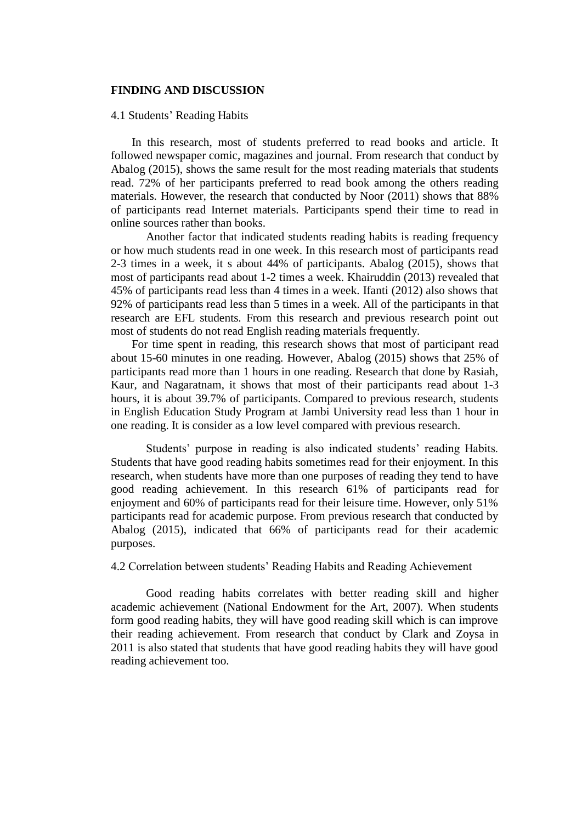#### **FINDING AND DISCUSSION**

#### 4.1 Students' Reading Habits

In this research, most of students preferred to read books and article. It followed newspaper comic, magazines and journal. From research that conduct by Abalog (2015), shows the same result for the most reading materials that students read. 72% of her participants preferred to read book among the others reading materials. However, the research that conducted by Noor (2011) shows that 88% of participants read Internet materials. Participants spend their time to read in online sources rather than books.

Another factor that indicated students reading habits is reading frequency or how much students read in one week. In this research most of participants read 2-3 times in a week, it s about 44% of participants. Abalog (2015), shows that most of participants read about 1-2 times a week. Khairuddin (2013) revealed that 45% of participants read less than 4 times in a week. Ifanti (2012) also shows that 92% of participants read less than 5 times in a week. All of the participants in that research are EFL students. From this research and previous research point out most of students do not read English reading materials frequently.

For time spent in reading, this research shows that most of participant read about 15-60 minutes in one reading. However, Abalog (2015) shows that 25% of participants read more than 1 hours in one reading. Research that done by Rasiah, Kaur, and Nagaratnam, it shows that most of their participants read about 1-3 hours, it is about 39.7% of participants. Compared to previous research, students in English Education Study Program at Jambi University read less than 1 hour in one reading. It is consider as a low level compared with previous research.

Students' purpose in reading is also indicated students' reading Habits. Students that have good reading habits sometimes read for their enjoyment. In this research, when students have more than one purposes of reading they tend to have good reading achievement. In this research 61% of participants read for enjoyment and 60% of participants read for their leisure time. However, only 51% participants read for academic purpose. From previous research that conducted by Abalog (2015), indicated that 66% of participants read for their academic purposes.

#### 4.2 Correlation between students' Reading Habits and Reading Achievement

Good reading habits correlates with better reading skill and higher academic achievement (National Endowment for the Art, 2007). When students form good reading habits, they will have good reading skill which is can improve their reading achievement. From research that conduct by Clark and Zoysa in 2011 is also stated that students that have good reading habits they will have good reading achievement too.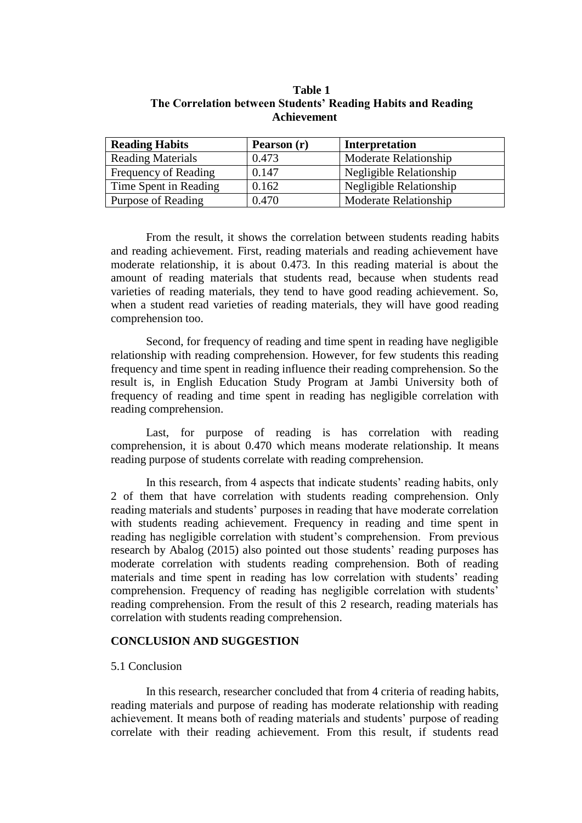| <b>Reading Habits</b>    | Pearson (r) | Interpretation          |
|--------------------------|-------------|-------------------------|
| <b>Reading Materials</b> | 0.473       | Moderate Relationship   |
| Frequency of Reading     | 0.147       | Negligible Relationship |
| Time Spent in Reading    | 0.162       | Negligible Relationship |
| Purpose of Reading       | 0.470       | Moderate Relationship   |

**Table 1 The Correlation between Students' Reading Habits and Reading Achievement**

From the result, it shows the correlation between students reading habits and reading achievement. First, reading materials and reading achievement have moderate relationship, it is about 0.473. In this reading material is about the amount of reading materials that students read, because when students read varieties of reading materials, they tend to have good reading achievement. So, when a student read varieties of reading materials, they will have good reading comprehension too.

Second, for frequency of reading and time spent in reading have negligible relationship with reading comprehension. However, for few students this reading frequency and time spent in reading influence their reading comprehension. So the result is, in English Education Study Program at Jambi University both of frequency of reading and time spent in reading has negligible correlation with reading comprehension.

Last, for purpose of reading is has correlation with reading comprehension, it is about 0.470 which means moderate relationship. It means reading purpose of students correlate with reading comprehension.

In this research, from 4 aspects that indicate students' reading habits, only 2 of them that have correlation with students reading comprehension. Only reading materials and students' purposes in reading that have moderate correlation with students reading achievement. Frequency in reading and time spent in reading has negligible correlation with student's comprehension. From previous research by Abalog (2015) also pointed out those students' reading purposes has moderate correlation with students reading comprehension. Both of reading materials and time spent in reading has low correlation with students' reading comprehension. Frequency of reading has negligible correlation with students' reading comprehension. From the result of this 2 research, reading materials has correlation with students reading comprehension.

## **CONCLUSION AND SUGGESTION**

#### 5.1 Conclusion

In this research, researcher concluded that from 4 criteria of reading habits, reading materials and purpose of reading has moderate relationship with reading achievement. It means both of reading materials and students' purpose of reading correlate with their reading achievement. From this result, if students read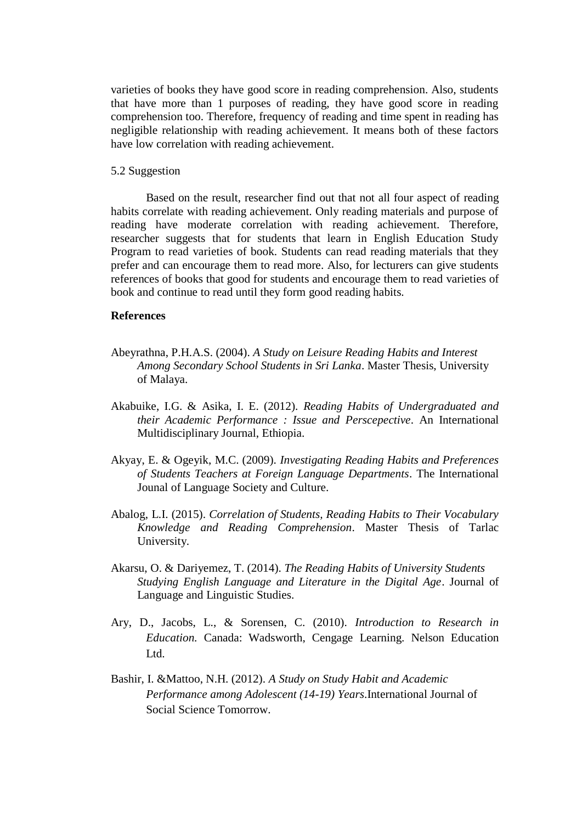varieties of books they have good score in reading comprehension. Also, students that have more than 1 purposes of reading, they have good score in reading comprehension too. Therefore, frequency of reading and time spent in reading has negligible relationship with reading achievement. It means both of these factors have low correlation with reading achievement.

#### 5.2 Suggestion

Based on the result, researcher find out that not all four aspect of reading habits correlate with reading achievement. Only reading materials and purpose of reading have moderate correlation with reading achievement. Therefore, researcher suggests that for students that learn in English Education Study Program to read varieties of book. Students can read reading materials that they prefer and can encourage them to read more. Also, for lecturers can give students references of books that good for students and encourage them to read varieties of book and continue to read until they form good reading habits.

#### **References**

- Abeyrathna, P.H.A.S. (2004). *A Study on Leisure Reading Habits and Interest Among Secondary School Students in Sri Lanka*. Master Thesis, University of Malaya.
- Akabuike, I.G. & Asika, I. E. (2012). *Reading Habits of Undergraduated and their Academic Performance : Issue and Perscepective*. An International Multidisciplinary Journal, Ethiopia.
- Akyay, E. & Ogeyik, M.C. (2009). *Investigating Reading Habits and Preferences of Students Teachers at Foreign Language Departments*. The International Jounal of Language Society and Culture.
- Abalog, L.I. (2015). *Correlation of Students, Reading Habits to Their Vocabulary Knowledge and Reading Comprehension*. Master Thesis of Tarlac University.
- Akarsu, O. & Dariyemez, T. (2014). *The Reading Habits of University Students Studying English Language and Literature in the Digital Age*. Journal of Language and Linguistic Studies.
- Ary, D., Jacobs, L., & Sorensen, C. (2010). *Introduction to Research in Education.* Canada: Wadsworth, Cengage Learning. Nelson Education Ltd.
- Bashir, I. &Mattoo, N.H. (2012). *A Study on Study Habit and Academic Performance among Adolescent (14-19) Years*.International Journal of Social Science Tomorrow.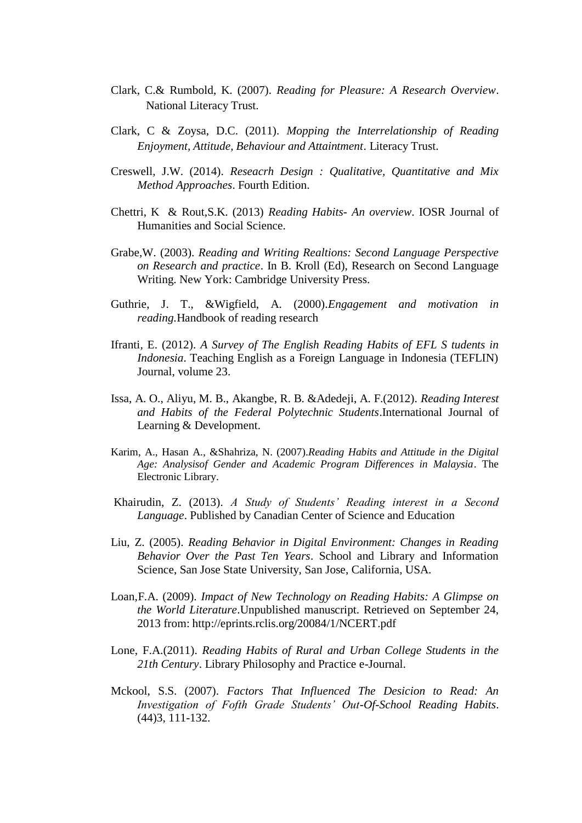- Clark, C.& Rumbold, K. (2007). *Reading for Pleasure: A Research Overview*. National Literacy Trust.
- Clark, C & Zoysa, D.C. (2011). *Mopping the Interrelationship of Reading Enjoyment, Attitude, Behaviour and Attaintment*. Literacy Trust.
- Creswell, J.W. (2014). *Reseacrh Design : Qualitative, Quantitative and Mix Method Approaches*. Fourth Edition.
- Chettri, K & Rout,S.K. (2013) *Reading Habits- An overview*. IOSR Journal of Humanities and Social Science.
- Grabe,W. (2003). *Reading and Writing Realtions: Second Language Perspective on Research and practice*. In B. Kroll (Ed), Research on Second Language Writing. New York: Cambridge University Press.
- Guthrie, J. T., &Wigfield, A. (2000).*Engagement and motivation in reading.*Handbook of reading research
- Ifranti, E. (2012). *A Survey of The English Reading Habits of EFL S tudents in Indonesia*. Teaching English as a Foreign Language in Indonesia (TEFLIN) Journal, volume 23.
- Issa, A. O., Aliyu, M. B., Akangbe, R. B. &Adedeji, A. F.(2012). *Reading Interest and Habits of the Federal Polytechnic Students*.International Journal of Learning & Development.
- Karim, A., Hasan A., &Shahriza, N. (2007).*Reading Habits and Attitude in the Digital Age: Analysisof Gender and Academic Program Differences in Malaysia*. The Electronic Library.
- Khairudin, Z. (2013). *A Study of Students' Reading interest in a Second Language*. Published by Canadian Center of Science and Education
- Liu, Z. (2005). *Reading Behavior in Digital Environment: Changes in Reading Behavior Over the Past Ten Years*. School and Library and Information Science, San Jose State University, San Jose, California, USA.
- Loan,F.A. (2009). *Impact of New Technology on Reading Habits: A Glimpse on the World Literature*.Unpublished manuscript. Retrieved on September 24, 2013 from: http://eprints.rclis.org/20084/1/NCERT.pdf
- Lone, F.A.(2011). *Reading Habits of Rural and Urban College Students in the 21th Century*. Library Philosophy and Practice e-Journal.
- Mckool, S.S. (2007). *Factors That Influenced The Desicion to Read: An Investigation of Fofth Grade Students' Out-Of-School Reading Habits*. (44)3, 111-132.